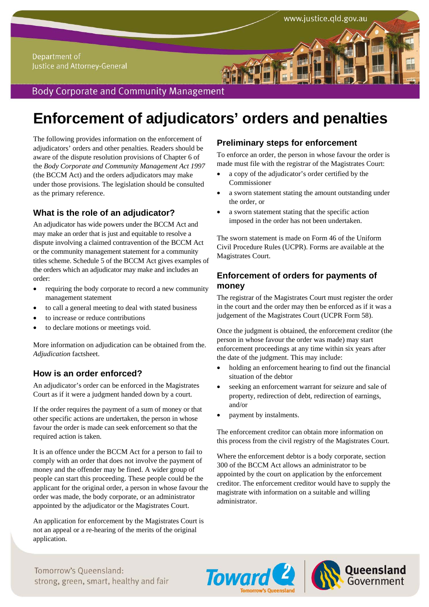Department of Justice and Attorney-General

# **Body Corporate and Community Management**

# **Enforcement of adjudicators' orders and penalties**

The following provides information on the enforcement of adjudicators' orders and other penalties. Readers should be aware of the dispute resolution provisions of Chapter 6 of the *Body Corporate and Community Management Act 1997*  (the BCCM Act) and the orders adjudicators may make under those provisions. The legislation should be consulted as the primary reference.

# **What is the role of an adjudicator?**

An adjudicator has wide powers under the BCCM Act and may make an order that is just and equitable to resolve a dispute involving a claimed contravention of the BCCM Act or the community management statement for a community titles scheme. Schedule 5 of the BCCM Act gives examples of the orders which an adjudicator may make and includes an order:

- requiring the body corporate to record a new community management statement
- to call a general meeting to deal with stated business
- to increase or reduce contributions
- to declare motions or meetings void.

More information on adjudication can be obtained from the. *Adjudication* factsheet.

# **How is an order enforced?**

An adjudicator's order can be enforced in the Magistrates Court as if it were a judgment handed down by a court.

If the order requires the payment of a sum of money or that other specific actions are undertaken, the person in whose favour the order is made can seek enforcement so that the required action is taken.

It is an offence under the BCCM Act for a person to fail to comply with an order that does not involve the payment of money and the offender may be fined. A wider group of people can start this proceeding. These people could be the applicant for the original order, a person in whose favour the order was made, the body corporate, or an administrator appointed by the adjudicator or the Magistrates Court.

An application for enforcement by the Magistrates Court is not an appeal or a re-hearing of the merits of the original application.

#### **Preliminary steps for enforcement**

To enforce an order, the person in whose favour the order is made must file with the registrar of the Magistrates Court:

www.justice.qld.gov.au

- a copy of the adjudicator's order certified by the Commissioner
- a sworn statement stating the amount outstanding under the order, or
- a sworn statement stating that the specific action imposed in the order has not been undertaken.

The sworn statement is made on Form 46 of the Uniform Civil Procedure Rules (UCPR). Forms are available at the Magistrates Court.

### **Enforcement of orders for payments of money**

The registrar of the Magistrates Court must register the order in the court and the order may then be enforced as if it was a judgement of the Magistrates Court (UCPR Form 58).

Once the judgment is obtained, the enforcement creditor (the person in whose favour the order was made) may start enforcement proceedings at any time within six years after the date of the judgment. This may include:

- holding an enforcement hearing to find out the financial situation of the debtor
- seeking an enforcement warrant for seizure and sale of property, redirection of debt, redirection of earnings, and/or
- payment by instalments.

The enforcement creditor can obtain more information on this process from the civil registry of the Magistrates Court.

Where the enforcement debtor is a body corporate, section 300 of the BCCM Act allows an administrator to be appointed by the court on application by the enforcement creditor. The enforcement creditor would have to supply the magistrate with information on a suitable and willing administrator.